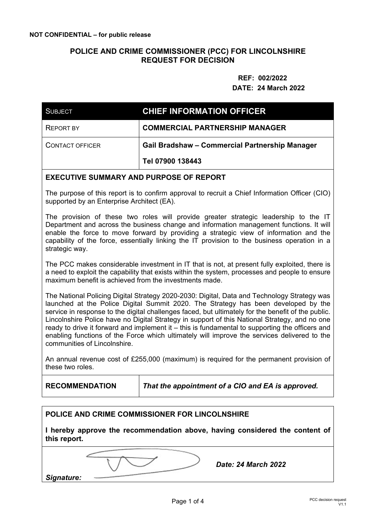### **POLICE AND CRIME COMMISSIONER (PCC) FOR LINCOLNSHIRE REQUEST FOR DECISION**

 **REF: 002/2022** 

#### **DATE: 24 March 2022**

| <b>SUBJECT</b>         | <b>CHIEF INFORMATION OFFICER</b>                      |
|------------------------|-------------------------------------------------------|
| <b>REPORT BY</b>       | <b>COMMERCIAL PARTNERSHIP MANAGER</b>                 |
| <b>CONTACT OFFICER</b> | <b>Gail Bradshaw - Commercial Partnership Manager</b> |
|                        | Tel 07900 138443                                      |

#### **EXECUTIVE SUMMARY AND PURPOSE OF REPORT**

The purpose of this report is to confirm approval to recruit a Chief Information Officer (CIO) supported by an Enterprise Architect (EA).

The provision of these two roles will provide greater strategic leadership to the IT Department and across the business change and information management functions. It will enable the force to move forward by providing a strategic view of information and the capability of the force, essentially linking the IT provision to the business operation in a strategic way.

The PCC makes considerable investment in IT that is not, at present fully exploited, there is a need to exploit the capability that exists within the system, processes and people to ensure maximum benefit is achieved from the investments made.

The National Policing Digital Strategy 2020-2030: Digital, Data and Technology Strategy was launched at the Police Digital Summit 2020. The Strategy has been developed by the service in response to the digital challenges faced, but ultimately for the benefit of the public. Lincolnshire Police have no Digital Strategy in support of this National Strategy, and no one ready to drive it forward and implement it – this is fundamental to supporting the officers and enabling functions of the Force which ultimately will improve the services delivered to the communities of Lincolnshire.

An annual revenue cost of £255,000 (maximum) is required for the permanent provision of these two roles.

**RECOMMENDATION** *That the appointment of a CIO and EA is approved.* 

#### **POLICE AND CRIME COMMISSIONER FOR LINCOLNSHIRE**

**I hereby approve the recommendation above, having considered the content of this report.** 

*Date: 24 March 2022* 

*Signature:*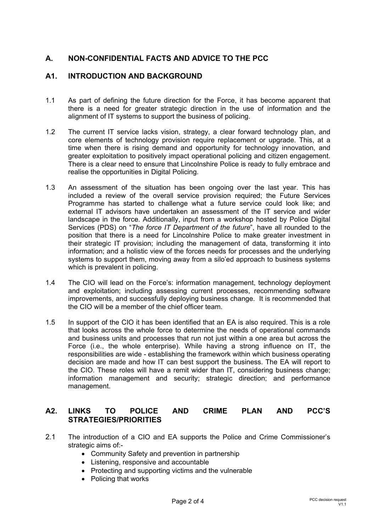# **A. NON-CONFIDENTIAL FACTS AND ADVICE TO THE PCC**

## **A1. INTRODUCTION AND BACKGROUND**

- 1.1 As part of defining the future direction for the Force, it has become apparent that there is a need for greater strategic direction in the use of information and the alignment of IT systems to support the business of policing.
- 1.2 The current IT service lacks vision, strategy, a clear forward technology plan, and core elements of technology provision require replacement or upgrade. This, at a time when there is rising demand and opportunity for technology innovation, and greater exploitation to positively impact operational policing and citizen engagement. There is a clear need to ensure that Lincolnshire Police is ready to fully embrace and realise the opportunities in Digital Policing.
- 1.3 An assessment of the situation has been ongoing over the last year. This has included a review of the overall service provision required; the Future Services Programme has started to challenge what a future service could look like; and external IT advisors have undertaken an assessment of the IT service and wider landscape in the force. Additionally, input from a workshop hosted by Police Digital Services (PDS) on "*The force IT Department of the future*", have all rounded to the position that there is a need for Lincolnshire Police to make greater investment in their strategic IT provision; including the management of data, transforming it into information; and a holistic view of the forces needs for processes and the underlying systems to support them, moving away from a silo'ed approach to business systems which is prevalent in policing.
- 1.4 The CIO will lead on the Force's: information management, technology deployment and exploitation; including assessing current processes, recommending software improvements, and successfully deploying business change. It is recommended that the CIO will be a member of the chief officer team.
- 1.5 In support of the CIO it has been identified that an EA is also required. This is a role that looks across the whole force to determine the needs of operational commands and business units and processes that run not just within a one area but across the Force (i.e., the whole enterprise). While having a strong influence on IT, the responsibilities are wide - establishing the framework within which business operating decision are made and how IT can best support the business. The EA will report to the CIO. These roles will have a remit wider than IT, considering business change; information management and security; strategic direction; and performance management.

## **A2. LINKS TO POLICE AND CRIME PLAN AND PCC'S STRATEGIES/PRIORITIES**

- 2.1 The introduction of a CIO and EA supports the Police and Crime Commissioner's strategic aims of:-
	- Community Safety and prevention in partnership
	- Listening, responsive and accountable
	- Protecting and supporting victims and the vulnerable
	- Policing that works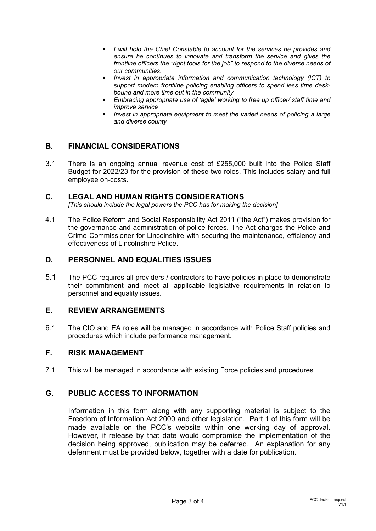- *I will hold the Chief Constable to account for the services he provides and ensure he continues to innovate and transform the service and gives the frontline officers the "right tools for the job" to respond to the diverse needs of our communities.*
- *Invest in appropriate information and communication technology (ICT) to support modern frontline policing enabling officers to spend less time deskbound and more time out in the community.*
- *Embracing appropriate use of 'agile' working to free up officer/ staff time and improve service*
- *Invest in appropriate equipment to meet the varied needs of policing a large and diverse county*

# **B. FINANCIAL CONSIDERATIONS**

3.1 There is an ongoing annual revenue cost of £255,000 built into the Police Staff Budget for 2022/23 for the provision of these two roles. This includes salary and full employee on-costs.

### **C. LEGAL AND HUMAN RIGHTS CONSIDERATIONS**

*[This should include the legal powers the PCC has for making the decision]* 

4.1 The Police Reform and Social Responsibility Act 2011 ("the Act") makes provision for the governance and administration of police forces. The Act charges the Police and Crime Commissioner for Lincolnshire with securing the maintenance, efficiency and effectiveness of Lincolnshire Police.

## **D. PERSONNEL AND EQUALITIES ISSUES**

5.1 The PCC requires all providers / contractors to have policies in place to demonstrate their commitment and meet all applicable legislative requirements in relation to personnel and equality issues.

### **E. REVIEW ARRANGEMENTS**

6.1 The CIO and EA roles will be managed in accordance with Police Staff policies and procedures which include performance management.

#### **F. RISK MANAGEMENT**

7.1 This will be managed in accordance with existing Force policies and procedures.

### **G. PUBLIC ACCESS TO INFORMATION**

Information in this form along with any supporting material is subject to the Freedom of Information Act 2000 and other legislation. Part 1 of this form will be made available on the PCC's website within one working day of approval. However, if release by that date would compromise the implementation of the decision being approved, publication may be deferred. An explanation for any deferment must be provided below, together with a date for publication.